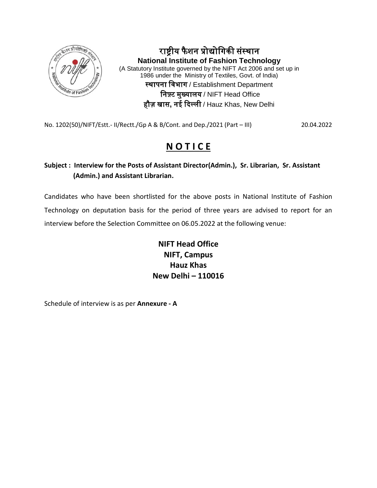

राष्ट्रीय फैशन प्रोद्योगिकी संस्थान **National Institute of Fashion Technology** (A Statutory Institute governed by the NIFT Act 2006 and set up in 1986 under the Ministry of Textiles, Govt. of India) स्थापना गिभाग / Establishment Department गनफ़्ट मुख्यालय / NIFT Head Office हौज़ खास**,** नई दिल्ली / Hauz Khas, New Delhi

No. 1202(50)/NIFT/Estt.- II/Rectt./Gp A & B/Cont. and Dep./2021 (Part – III) 20.04.2022

# **N O T I C E**

# **Subject : Interview for the Posts of Assistant Director(Admin.), Sr. Librarian, Sr. Assistant (Admin.) and Assistant Librarian.**

Candidates who have been shortlisted for the above posts in National Institute of Fashion Technology on deputation basis for the period of three years are advised to report for an interview before the Selection Committee on 06.05.2022 at the following venue:

> **NIFT Head Office NIFT, Campus Hauz Khas New Delhi – 110016**

Schedule of interview is as per **Annexure - A**